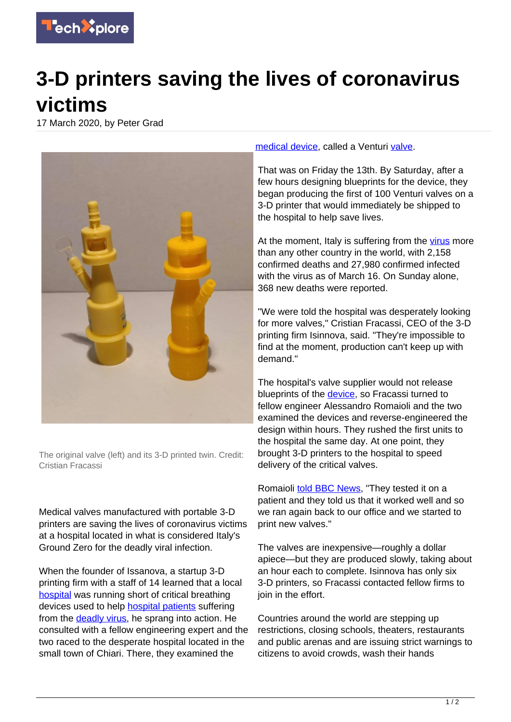

## **3-D printers saving the lives of coronavirus victims**

17 March 2020, by Peter Grad



The original valve (left) and its 3-D printed twin. Credit: Cristian Fracassi

Medical valves manufactured with portable 3-D printers are saving the lives of coronavirus victims at a hospital located in what is considered Italy's Ground Zero for the deadly viral infection.

When the founder of Issanova, a startup 3-D printing firm with a staff of 14 learned that a local [hospital](https://techxplore.com/tags/hospital/) was running short of critical breathing devices used to help **[hospital patients](https://techxplore.com/tags/hospital+patients/)** suffering from the [deadly virus](https://techxplore.com/tags/deadly+virus/), he sprang into action. He consulted with a fellow engineering expert and the two raced to the desperate hospital located in the small town of Chiari. There, they examined the

[medical device](https://techxplore.com/tags/medical+device/), called a Venturi [valve](https://techxplore.com/tags/valve/).

That was on Friday the 13th. By Saturday, after a few hours designing blueprints for the device, they began producing the first of 100 Venturi valves on a 3-D printer that would immediately be shipped to the hospital to help save lives.

At the moment, Italy is suffering from the [virus](https://techxplore.com/tags/virus/) more than any other country in the world, with 2,158 confirmed deaths and 27,980 confirmed infected with the virus as of March 16. On Sunday alone, 368 new deaths were reported.

"We were told the hospital was desperately looking for more valves," Cristian Fracassi, CEO of the 3-D printing firm Isinnova, said. "They're impossible to find at the moment, production can't keep up with demand."

The hospital's valve supplier would not release blueprints of the **device**, so Fracassi turned to fellow engineer Alessandro Romaioli and the two examined the devices and reverse-engineered the design within hours. They rushed the first units to the hospital the same day. At one point, they brought 3-D printers to the hospital to speed delivery of the critical valves.

Romaioli **told BBC News**, "They tested it on a patient and they told us that it worked well and so we ran again back to our office and we started to print new valves."

The valves are inexpensive—roughly a dollar apiece—but they are produced slowly, taking about an hour each to complete. Isinnova has only six 3-D printers, so Fracassi contacted fellow firms to join in the effort.

Countries around the world are stepping up restrictions, closing schools, theaters, restaurants and public arenas and are issuing strict warnings to citizens to avoid crowds, wash their hands